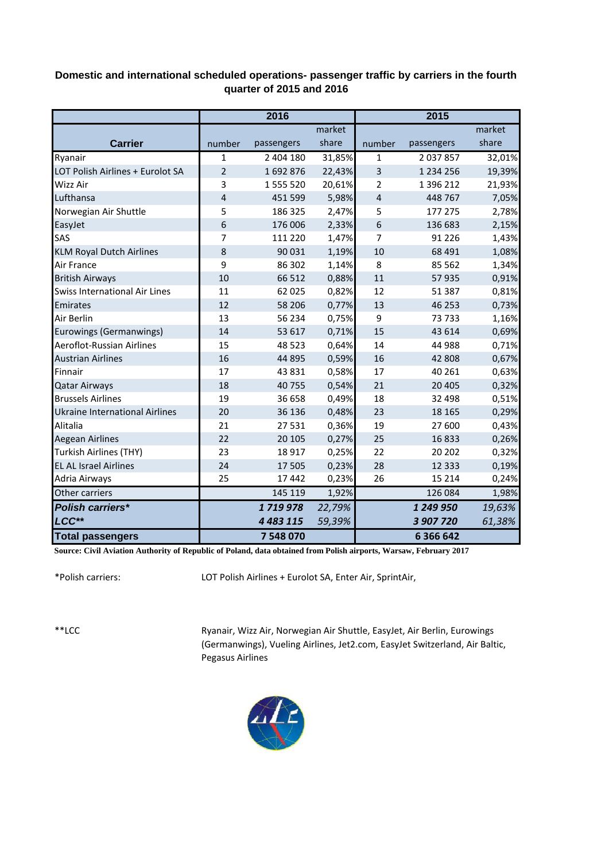## **Domestic and international scheduled operations- passenger traffic by carriers in the fourth quarter of 2015 and 2016**

|                                       | 2016           |               |        | 2015                    |               |        |
|---------------------------------------|----------------|---------------|--------|-------------------------|---------------|--------|
|                                       |                |               | market |                         |               | market |
| <b>Carrier</b>                        | number         | passengers    | share  | number                  | passengers    | share  |
| Ryanair                               | $\mathbf{1}$   | 2 404 180     | 31,85% | $\mathbf{1}$            | 2 037 857     | 32,01% |
| LOT Polish Airlines + Eurolot SA      | $\overline{2}$ | 1692876       | 22,43% | $\overline{\mathbf{3}}$ | 1 2 3 4 2 5 6 | 19,39% |
| <b>Wizz Air</b>                       | 3              | 1 555 520     | 20,61% | 2                       | 1 396 212     | 21,93% |
| Lufthansa                             | 4              | 451 599       | 5,98%  | 4                       | 448 767       | 7,05%  |
| Norwegian Air Shuttle                 | 5              | 186 325       | 2,47%  | 5                       | 177 275       | 2,78%  |
| EasyJet                               | 6              | 176 006       | 2,33%  | 6                       | 136 683       | 2,15%  |
| SAS                                   | 7              | 111 220       | 1,47%  | 7                       | 91 2 2 6      | 1,43%  |
| <b>KLM Royal Dutch Airlines</b>       | 8              | 90 031        | 1,19%  | 10                      | 68 4 91       | 1,08%  |
| Air France                            | 9              | 86 302        | 1,14%  | 8                       | 85 5 62       | 1,34%  |
| <b>British Airways</b>                | 10             | 66 512        | 0,88%  | 11                      | 57935         | 0,91%  |
| Swiss International Air Lines         | 11             | 62 0 25       | 0,82%  | 12                      | 51 387        | 0,81%  |
| Emirates                              | 12             | 58 206        | 0,77%  | 13                      | 46 253        | 0,73%  |
| Air Berlin                            | 13             | 56 234        | 0,75%  | 9                       | 73733         | 1,16%  |
| Eurowings (Germanwings)               | 14             | 53 617        | 0,71%  | 15                      | 43 614        | 0,69%  |
| Aeroflot-Russian Airlines             | 15             | 48 5 23       | 0,64%  | 14                      | 44 988        | 0,71%  |
| <b>Austrian Airlines</b>              | 16             | 44 8 95       | 0,59%  | 16                      | 42 808        | 0,67%  |
| Finnair                               | 17             | 43 8 31       | 0,58%  | 17                      | 40 261        | 0,63%  |
| <b>Qatar Airways</b>                  | 18             | 40 755        | 0,54%  | 21                      | 20 4 05       | 0,32%  |
| <b>Brussels Airlines</b>              | 19             | 36 658        | 0,49%  | 18                      | 32 498        | 0,51%  |
| <b>Ukraine International Airlines</b> | 20             | 36 136        | 0,48%  | 23                      | 18 16 5       | 0,29%  |
| Alitalia                              | 21             | 27 531        | 0,36%  | 19                      | 27 600        | 0,43%  |
| <b>Aegean Airlines</b>                | 22             | 20 10 5       | 0,27%  | 25                      | 16833         | 0,26%  |
| Turkish Airlines (THY)                | 23             | 18917         | 0,25%  | 22                      | 20 20 2       | 0,32%  |
| <b>EL AL Israel Airlines</b>          | 24             | 17 505        | 0,23%  | 28                      | 12 3 3 3      | 0,19%  |
| Adria Airways                         | 25             | 17 442        | 0,23%  | 26                      | 15 2 14       | 0,24%  |
| Other carriers                        |                | 145 119       | 1,92%  |                         | 126 084       | 1,98%  |
| <b>Polish carriers*</b>               |                | 1719978       | 22,79% |                         | 1 249 950     | 19,63% |
| LCC**                                 |                | 4 4 8 3 1 1 5 | 59,39% |                         | 3 907 720     | 61,38% |
| <b>Total passengers</b>               |                | 7 548 070     |        |                         | 6 366 642     |        |

**Source: Civil Aviation Authority of Republic of Poland, data obtained from Polish airports, Warsaw, February 2017**

\*Polish carriers:

LOT Polish Airlines + Eurolot SA, Enter Air, SprintAir,

\*\*LCC

Ryanair, Wizz Air, Norwegian Air Shuttle, EasyJet, Air Berlin, Eurowings (Germanwings), Vueling Airlines, Jet2.com, EasyJet Switzerland, Air Baltic, Pegasus Airlines